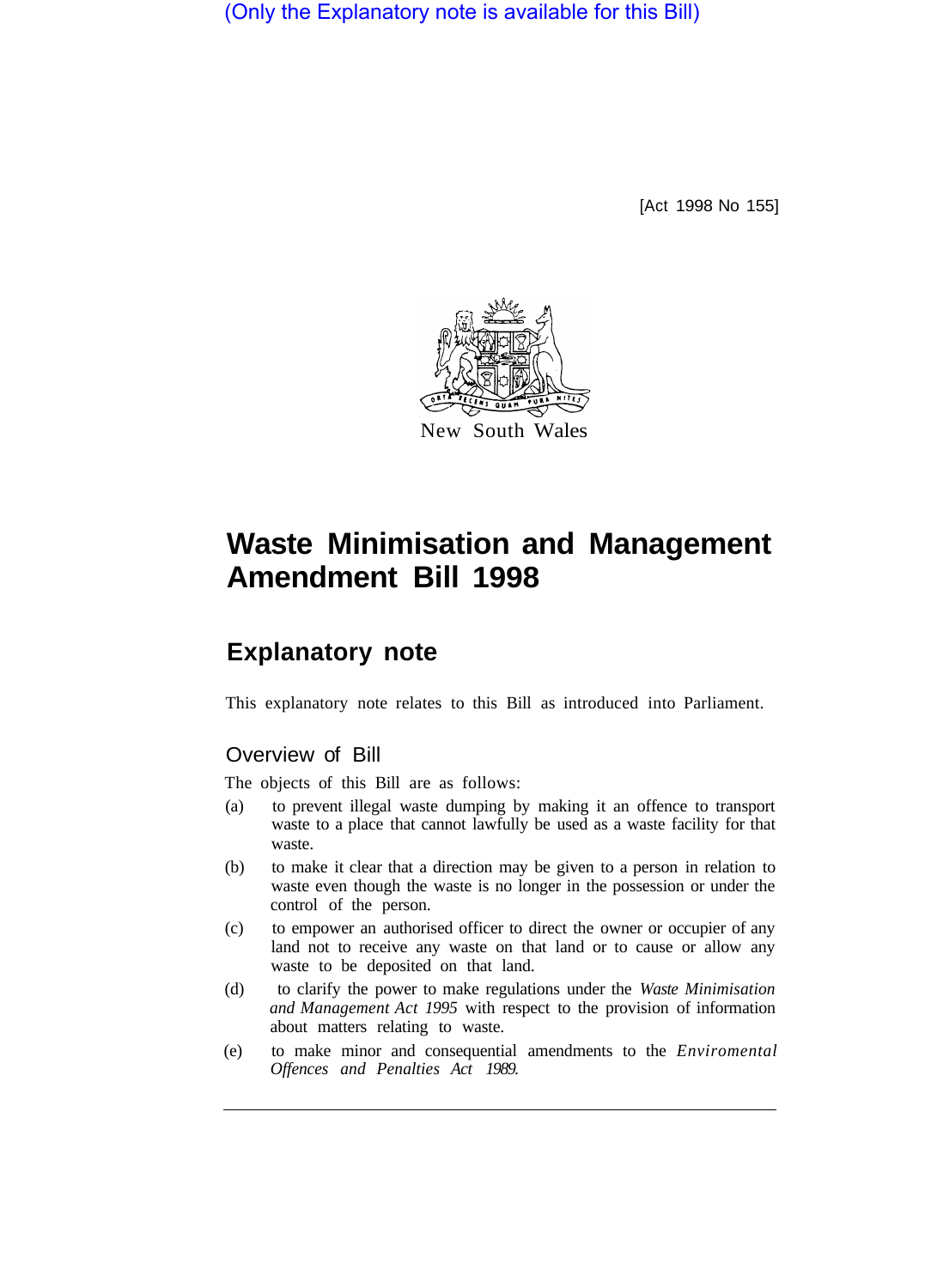(Only the Explanatory note is available for this Bill)

[Act 1998 No 155]



# **Waste Minimisation and Management Amendment Bill 1998**

# **Explanatory note**

This explanatory note relates to this Bill as introduced into Parliament.

## Overview of Bill

The objects of this Bill are as follows:

- (a) to prevent illegal waste dumping by making it an offence to transport waste to a place that cannot lawfully be used as a waste facility for that waste.
- (b) to make it clear that a direction may be given to a person in relation to waste even though the waste is no longer in the possession or under the control of the person.
- (c) to empower an authorised officer to direct the owner or occupier of any land not to receive any waste on that land or to cause or allow any waste to be deposited on that land.
- (d) to clarify the power to make regulations under the *Waste Minimisation and Management Act 1995* with respect to the provision of information about matters relating to waste.
- (e) to make minor and consequential amendments to the *Enviromental Offences and Penalties Act 1989.*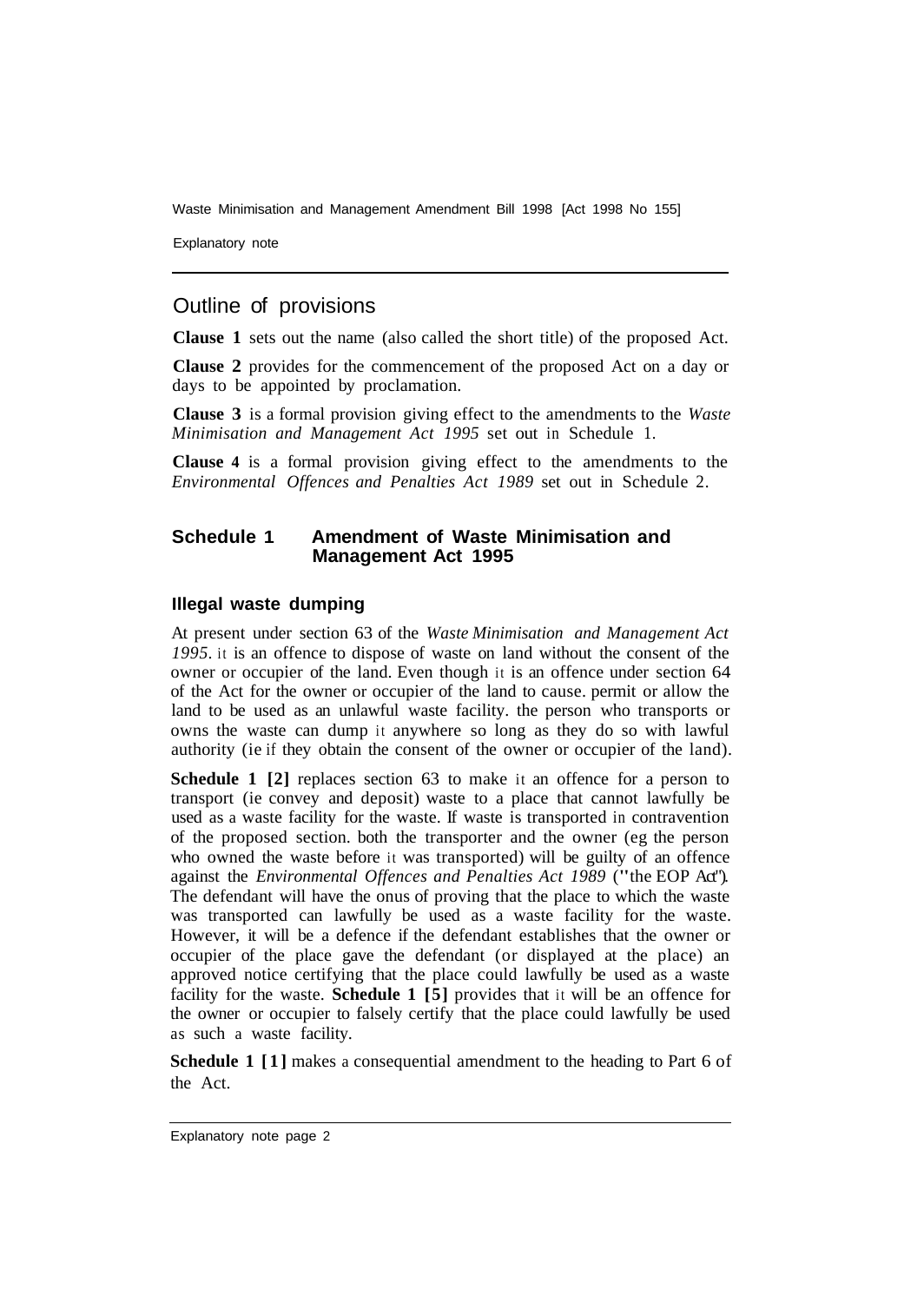Waste Minimisation and Management Amendment Bill 1998 [Act 1998 No 155]

Explanatory note

### Outline of provisions

**Clause 1** sets out the name (also called the short title) of the proposed Act.

**Clause 2** provides for the commencement of the proposed Act on a day or days to be appointed by proclamation.

**Clause 3** is a formal provision giving effect to the amendments to the *Waste Minimisation and Management Act 1995* set out in Schedule 1.

**Clause 4** is a formal provision giving effect to the amendments to the *Environmental Offences and Penalties Act 1989* set out in Schedule 2.

#### **Schedule 1 Amendment of Waste Minimisation and Management Act 1995**

#### **Illegal waste dumping**

At present under section 63 of the *Waste Minimisation and Management Act 1995.* it is an offence to dispose of waste on land without the consent of the owner or occupier of the land. Even though it is an offence under section 64 of the Act for the owner or occupier of the land to cause. permit or allow the land to be used as an unlawful waste facility. the person who transports or owns the waste can dump it anywhere so long as they do so with lawful authority (ie if they obtain the consent of the owner or occupier of the land).

**Schedule 1 [2] replaces section 63 to make it an offence for a person to** transport (ie convey and deposit) waste to a place that cannot lawfully be used as a waste facility for the waste. If waste is transported in contravention of the proposed section. both the transporter and the owner (eg the person who owned the waste before it was transported) will be guilty of an offence against the *Environmental Offences and Penalties Act 1989* ("the EOP Act"). The defendant will have the onus of proving that the place to which the waste was transported can lawfully be used as a waste facility for the waste. However, it will be a defence if the defendant establishes that the owner or occupier of the place gave the defendant (or displayed at the place) an approved notice certifying that the place could lawfully be used as a waste facility for the waste. **Schedule 1 [5]** provides that it will be an offence for the owner or occupier to falsely certify that the place could lawfully be used as such a waste facility.

**Schedule 1 [1]** makes a consequential amendment to the heading to Part 6 of the Act.

Explanatory note page 2